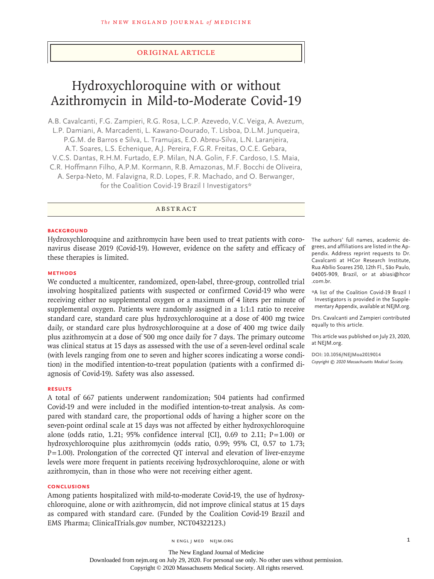## Original Article

# Hydroxychloroquine with or without Azithromycin in Mild-to-Moderate Covid-19

A.B. Cavalcanti, F.G. Zampieri, R.G. Rosa, L.C.P. Azevedo, V.C. Veiga, A. Avezum, L.P. Damiani, A. Marcadenti, L. Kawano-Dourado, T. Lisboa, D.L.M. Junqueira, P.G.M. de Barros e Silva, L. Tramujas, E.O. Abreu-Silva, L.N. Laranjeira, A.T. Soares, L.S. Echenique, A.J. Pereira, F.G.R. Freitas, O.C.E. Gebara, V.C.S. Dantas, R.H.M. Furtado, E.P. Milan, N.A. Golin, F.F. Cardoso, I.S. Maia, C.R. Hoffmann Filho, A.P.M. Kormann, R.B. Amazonas, M.F. Bocchi de Oliveira, A. Serpa-Neto, M. Falavigna, R.D. Lopes, F.R. Machado, and O. Berwanger, for the Coalition Covid-19 Brazil I Investigators\*

## ABSTRACT

### **BACKGROUND**

Hydroxychloroquine and azithromycin have been used to treat patients with coronavirus disease 2019 (Covid-19). However, evidence on the safety and efficacy of these therapies is limited.

## **METHODS**

We conducted a multicenter, randomized, open-label, three-group, controlled trial involving hospitalized patients with suspected or confirmed Covid-19 who were receiving either no supplemental oxygen or a maximum of 4 liters per minute of supplemental oxygen. Patients were randomly assigned in a 1:1:1 ratio to receive standard care, standard care plus hydroxychloroquine at a dose of 400 mg twice daily, or standard care plus hydroxychloroquine at a dose of 400 mg twice daily plus azithromycin at a dose of 500 mg once daily for 7 days. The primary outcome was clinical status at 15 days as assessed with the use of a seven-level ordinal scale (with levels ranging from one to seven and higher scores indicating a worse condition) in the modified intention-to-treat population (patients with a confirmed diagnosis of Covid-19). Safety was also assessed.

## **RESULTS**

A total of 667 patients underwent randomization; 504 patients had confirmed Covid-19 and were included in the modified intention-to-treat analysis. As compared with standard care, the proportional odds of having a higher score on the seven-point ordinal scale at 15 days was not affected by either hydroxychloroquine alone (odds ratio, 1.21; 95% confidence interval [CI], 0.69 to 2.11;  $P=1.00$ ) or hydroxychloroquine plus azithromycin (odds ratio, 0.99; 95% CI, 0.57 to 1.73;  $P=1.00$ ). Prolongation of the corrected QT interval and elevation of liver-enzyme levels were more frequent in patients receiving hydroxychloroquine, alone or with azithromycin, than in those who were not receiving either agent.

## **CONCLUSIONS**

Among patients hospitalized with mild-to-moderate Covid-19, the use of hydroxychloroquine, alone or with azithromycin, did not improve clinical status at 15 days as compared with standard care. (Funded by the Coalition Covid-19 Brazil and EMS Pharma; ClinicalTrials.gov number, NCT04322123.)

The authors' full names, academic degrees, and affiliations are listed in the Appendix. Address reprint requests to Dr. Cavalcanti at HCor Research Institute, Rua Abílio Soares 250, 12th Fl., São Paulo, 04005-909, Brazil, or at abiasi@hcor .com.br.

\*A list of the Coalition Covid-19 Brazil I Investigators is provided in the Supplementary Appendix, available at NEJM.org.

Drs. Cavalcanti and Zampieri contributed equally to this article.

This article was published on July 23, 2020, at NEJM.org.

**DOI: 10.1056/NEJMoa2019014** *Copyright © 2020 Massachusetts Medical Society.*

n engl j med nejm.org 1

The New England Journal of Medicine Downloaded from nejm.org on July 29, 2020. For personal use only. No other uses without permission. Copyright © 2020 Massachusetts Medical Society. All rights reserved.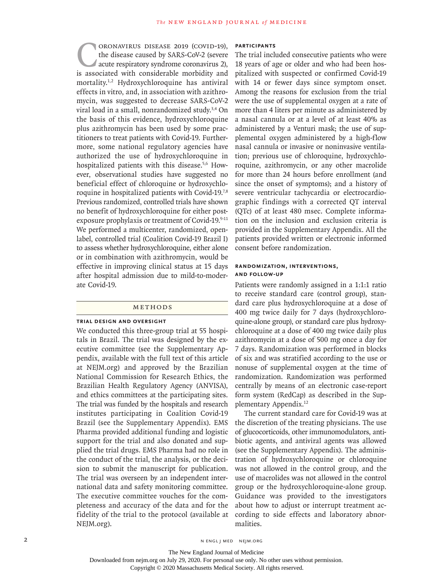CORONAVIRUS DISEASE 2019 (COVID-19),<br>the disease caused by SARS-CoV-2 (severe<br>acute respiratory syndrome coronavirus 2),<br>is associated with considerable morbidity and the disease caused by SARS-CoV-2 (severe acute respiratory syndrome coronavirus 2), is associated with considerable morbidity and mortality.1,2 Hydroxychloroquine has antiviral effects in vitro, and, in association with azithromycin, was suggested to decrease SARS-CoV-2 viral load in a small, nonrandomized study.3,4 On the basis of this evidence, hydroxychloroquine plus azithromycin has been used by some practitioners to treat patients with Covid-19. Furthermore, some national regulatory agencies have authorized the use of hydroxychloroquine in hospitalized patients with this disease.<sup>5,6</sup> However, observational studies have suggested no beneficial effect of chloroquine or hydroxychloroquine in hospitalized patients with Covid-19.7,8 Previous randomized, controlled trials have shown no benefit of hydroxychloroquine for either postexposure prophylaxis or treatment of Covid-19.9-11 We performed a multicenter, randomized, openlabel, controlled trial (Coalition Covid-19 Brazil I) to assess whether hydroxychloroquine, either alone or in combination with azithromycin, would be effective in improving clinical status at 15 days after hospital admission due to mild-to-moderate Covid-19.

## METHODS

#### **Trial Design and Oversight**

We conducted this three-group trial at 55 hospitals in Brazil. The trial was designed by the executive committee (see the Supplementary Appendix, available with the full text of this article at NEJM.org) and approved by the Brazilian National Commission for Research Ethics, the Brazilian Health Regulatory Agency (ANVISA), and ethics committees at the participating sites. The trial was funded by the hospitals and research institutes participating in Coalition Covid-19 Brazil (see the Supplementary Appendix). EMS Pharma provided additional funding and logistic support for the trial and also donated and supplied the trial drugs. EMS Pharma had no role in the conduct of the trial, the analysis, or the decision to submit the manuscript for publication. The trial was overseen by an independent international data and safety monitoring committee. The executive committee vouches for the completeness and accuracy of the data and for the fidelity of the trial to the protocol (available at NEJM.org).

## **Participants**

The trial included consecutive patients who were 18 years of age or older and who had been hospitalized with suspected or confirmed Covid-19 with 14 or fewer days since symptom onset. Among the reasons for exclusion from the trial were the use of supplemental oxygen at a rate of more than 4 liters per minute as administered by a nasal cannula or at a level of at least 40% as administered by a Venturi mask; the use of supplemental oxygen administered by a high-flow nasal cannula or invasive or noninvasive ventilation; previous use of chloroquine, hydroxychloroquine, azithromycin, or any other macrolide for more than 24 hours before enrollment (and since the onset of symptoms); and a history of severe ventricular tachycardia or electrocardiographic findings with a corrected QT interval (QTc) of at least 480 msec. Complete information on the inclusion and exclusion criteria is provided in the Supplementary Appendix. All the patients provided written or electronic informed consent before randomization.

## **Randomization, Interventions, and Follow-up**

Patients were randomly assigned in a 1:1:1 ratio to receive standard care (control group), standard care plus hydroxychloroquine at a dose of 400 mg twice daily for 7 days (hydroxychloroquine-alone group), or standard care plus hydroxychloroquine at a dose of 400 mg twice daily plus azithromycin at a dose of 500 mg once a day for 7 days. Randomization was performed in blocks of six and was stratified according to the use or nonuse of supplemental oxygen at the time of randomization. Randomization was performed centrally by means of an electronic case-report form system (RedCap) as described in the Supplementary Appendix.12

The current standard care for Covid-19 was at the discretion of the treating physicians. The use of glucocorticoids, other immunomodulators, antibiotic agents, and antiviral agents was allowed (see the Supplementary Appendix). The administration of hydroxychloroquine or chloroquine was not allowed in the control group, and the use of macrolides was not allowed in the control group or the hydroxychloroquine-alone group. Guidance was provided to the investigators about how to adjust or interrupt treatment according to side effects and laboratory abnormalities.

2 N ENGL J MED NEJM.ORG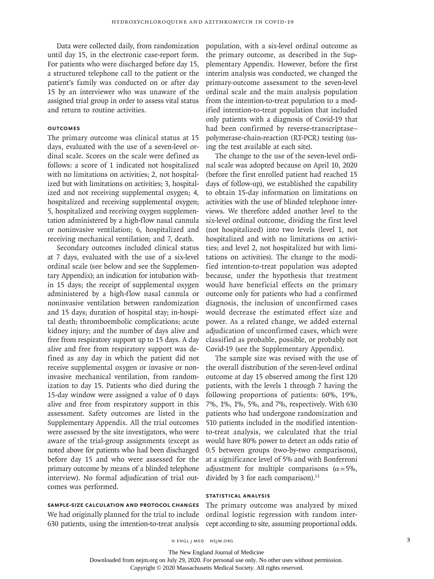Data were collected daily, from randomization until day 15, in the electronic case-report form. For patients who were discharged before day 15, a structured telephone call to the patient or the patient's family was conducted on or after day 15 by an interviewer who was unaware of the assigned trial group in order to assess vital status and return to routine activities.

## **Outcomes**

The primary outcome was clinical status at 15 days, evaluated with the use of a seven-level ordinal scale. Scores on the scale were defined as follows: a score of 1 indicated not hospitalized with no limitations on activities; 2, not hospitalized but with limitations on activities; 3, hospitalized and not receiving supplemental oxygen; 4, hospitalized and receiving supplemental oxygen; 5, hospitalized and receiving oxygen supplementation administered by a high-flow nasal cannula or noninvasive ventilation; 6, hospitalized and receiving mechanical ventilation; and 7, death.

Secondary outcomes included clinical status at 7 days, evaluated with the use of a six-level ordinal scale (see below and see the Supplementary Appendix); an indication for intubation within 15 days; the receipt of supplemental oxygen administered by a high-flow nasal cannula or noninvasive ventilation between randomization and 15 days; duration of hospital stay; in-hospital death; thromboembolic complications; acute kidney injury; and the number of days alive and free from respiratory support up to 15 days. A day alive and free from respiratory support was defined as any day in which the patient did not receive supplemental oxygen or invasive or noninvasive mechanical ventilation, from randomization to day 15. Patients who died during the 15-day window were assigned a value of 0 days alive and free from respiratory support in this assessment. Safety outcomes are listed in the Supplementary Appendix. All the trial outcomes were assessed by the site investigators, who were aware of the trial-group assignments (except as noted above for patients who had been discharged before day 15 and who were assessed for the primary outcome by means of a blinded telephone interview). No formal adjudication of trial outcomes was performed.

population, with a six-level ordinal outcome as the primary outcome, as described in the Supplementary Appendix. However, before the first interim analysis was conducted, we changed the primary-outcome assessment to the seven-level ordinal scale and the main analysis population from the intention-to-treat population to a modified intention-to-treat population that included only patients with a diagnosis of Covid-19 that had been confirmed by reverse-transcriptase– polymerase-chain-reaction (RT-PCR) testing (using the test available at each site).

The change to the use of the seven-level ordinal scale was adopted because on April 10, 2020 (before the first enrolled patient had reached 15 days of follow-up), we established the capability to obtain 15-day information on limitations on activities with the use of blinded telephone interviews. We therefore added another level to the six-level ordinal outcome, dividing the first level (not hospitalized) into two levels (level 1, not hospitalized and with no limitations on activities; and level 2, not hospitalized but with limitations on activities). The change to the modified intention-to-treat population was adopted because, under the hypothesis that treatment would have beneficial effects on the primary outcome only for patients who had a confirmed diagnosis, the inclusion of unconfirmed cases would decrease the estimated effect size and power. As a related change, we added external adjudication of unconfirmed cases, which were classified as probable, possible, or probably not Covid-19 (see the Supplementary Appendix).

The sample size was revised with the use of the overall distribution of the seven-level ordinal outcome at day 15 observed among the first 120 patients, with the levels 1 through 7 having the following proportions of patients: 60%, 19%, 7%, 1%, 1%, 5%, and 7%, respectively. With 630 patients who had undergone randomization and 510 patients included in the modified intentionto-treat analysis, we calculated that the trial would have 80% power to detect an odds ratio of 0.5 between groups (two-by-two comparisons), at a significance level of 5% and with Bonferroni adjustment for multiple comparisons ( $\alpha$ =5%, divided by 3 for each comparison).<sup>13</sup>

### **Statistical Analysis**

The primary outcome was analyzed by mixed ordinal logistic regression with random intercept according to site, assuming proportional odds.

## **Sample-Size Calculation and Protocol Changes**

We had originally planned for the trial to include 630 patients, using the intention-to-treat analysis

n engl j med nejm.org 3

The New England Journal of Medicine

Downloaded from nejm.org on July 29, 2020. For personal use only. No other uses without permission.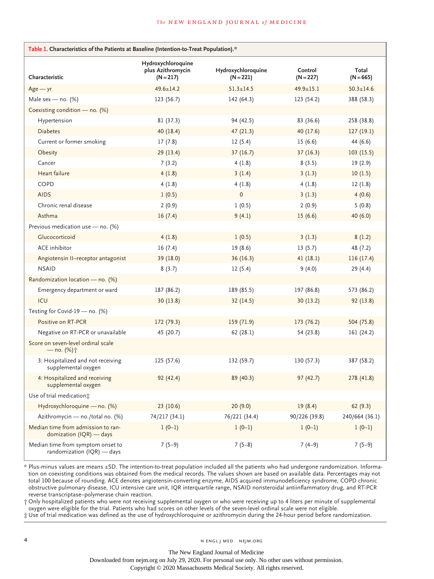#### **The NEW ENGLAND JOURNAL of MEDICINE**

| Table 1. Characteristics of the Patients at Baseline (Intention-to-Treat Population).* |                                                        |                                   |                        |                      |
|----------------------------------------------------------------------------------------|--------------------------------------------------------|-----------------------------------|------------------------|----------------------|
| Characteristic                                                                         | Hydroxychloroquine<br>plus Azithromycin<br>$(N = 217)$ | Hydroxychloroquine<br>$(N = 221)$ | Control<br>$(N = 227)$ | Total<br>$(N = 665)$ |
| $Age - yr$                                                                             | $49.6 \pm 14.2$                                        | $51.3 \pm 14.5$                   | 49.9±15.1              | $50.3 \pm 14.6$      |
| Male sex - no. $(%)$                                                                   | 123 (56.7)                                             | 142(64.3)                         | 123 (54.2)             | 388 (58.3)           |
| Coexisting condition - no. (%)                                                         |                                                        |                                   |                        |                      |
| Hypertension                                                                           | 81 (37.3)                                              | 94 (42.5)                         | 83 (36.6)              | 258 (38.8)           |
| <b>Diabetes</b>                                                                        | 40 (18.4)                                              | 47(21.3)                          | 40(17.6)               | 127(19.1)            |
| Current or former smoking                                                              | 17(7.8)                                                | 12(5.4)                           | 15(6.6)                | 44 (6.6)             |
| Obesity                                                                                | 29 (13.4)                                              | 37(16.7)                          | 37(16.3)               | 103(15.5)            |
| Cancer                                                                                 | 7(3.2)                                                 | 4(1.8)                            | 8(3.5)                 | 19(2.9)              |
| Heart failure                                                                          | 4(1.8)                                                 | 3(1.4)                            | 3(1.3)                 | 10(1.5)              |
| COPD                                                                                   | 4(1.8)                                                 | 4(1.8)                            | 4(1.8)                 | 12(1.8)              |
| <b>AIDS</b>                                                                            | 1(0.5)                                                 | $\mathbf{0}$                      | 3(1.3)                 | 4(0.6)               |
| Chronic renal disease                                                                  | 2(0.9)                                                 | 1(0.5)                            | 2(0.9)                 | 5(0.8)               |
| Asthma                                                                                 | 16(7.4)                                                | 9(4.1)                            | 15(6.6)                | 40 (6.0)             |
| Previous medication use - no. (%)                                                      |                                                        |                                   |                        |                      |
| Glucocorticoid                                                                         | 4(1.8)                                                 | 1(0.5)                            | 3(1.3)                 | 8(1.2)               |
| <b>ACE</b> inhibitor                                                                   | 16(7.4)                                                | 19(8.6)                           | 13(5.7)                | 48 (7.2)             |
| Angiotensin II-receptor antagonist                                                     | 39 (18.0)                                              | 36(16.3)                          | 41(18.1)               | 116(17.4)            |
| <b>NSAID</b>                                                                           | 8(3.7)                                                 | 12(5.4)                           | 9(4.0)                 | 29(4.4)              |
| Randomization location - no. (%)                                                       |                                                        |                                   |                        |                      |
| Emergency department or ward                                                           | 187 (86.2)                                             | 189 (85.5)                        | 197 (86.8)             | 573 (86.2)           |
| ICU                                                                                    | 30(13.8)                                               | 32(14.5)                          | 30(13.2)               | 92 (13.8)            |
| Testing for Covid-19 - no. (%)                                                         |                                                        |                                   |                        |                      |
| Positive on RT-PCR                                                                     | 172(79.3)                                              | 159 (71.9)                        | 173 (76.2)             | 504 (75.8)           |
| Negative on RT-PCR or unavailable                                                      | 45 (20.7)                                              | 62 (28.1)                         | 54 (23.8)              | 161 (24.2)           |
| Score on seven-level ordinal scale<br>$-$ no. $(\%)\uparrow$                           |                                                        |                                   |                        |                      |
| 3: Hospitalized and not receiving<br>supplemental oxygen                               | 125(57.6)                                              | 132 (59.7)                        | 130(57.3)              | 387 (58.2)           |
| 4: Hospitalized and receiving<br>supplemental oxygen                                   | 92 (42.4)                                              | 89 (40.3)                         | 97(42.7)               | 278 (41.8)           |
| Use of trial medication;                                                               |                                                        |                                   |                        |                      |
| Hydroxychloroquine - no. (%)                                                           | 23(10.6)                                               | 20(9.0)                           | 19(8.4)                | 62(9.3)              |
| Azithromycin - no./total no. (%)                                                       | 74/217 (34.1)                                          | 76/221 (34.4)                     | 90/226 (39.8)          | 240/664 (36.1)       |
| Median time from admission to ran-<br>domization (IQR) - days                          | $1(0-1)$                                               | $1(0-1)$                          | $1(0-1)$               | $1(0-1)$             |
| Median time from symptom onset to<br>randomization (IQR) - days                        | $7(5-9)$                                               | $7(5-8)$                          | $7(4-9)$               | $7(5-9)$             |

\* Plus-minus values are means ±SD. The intention-to-treat population included all the patients who had undergone randomization. Information on coexisting conditions was obtained from the medical records. The values shown are based on available data. Percentages may not total 100 because of rounding. ACE denotes angiotensin-converting enzyme, AIDS acquired immunodeficiency syndrome, COPD chronic obstructive pulmonary disease, ICU intensive care unit, IQR interquartile range, NSAID nonsteroidal antiinflammatory drug, and RT-PCR reverse transcriptase–polymerase chain reaction.

† Only hospitalized patients who were not receiving supplemental oxygen or who were receiving up to 4 liters per minute of supplemental oxygen were eligible for the trial. Patients who had scores on other levels of the seven-level ordinal scale were not eligible.

‡ Use of trial medication was defined as the use of hydroxychloroquine or azithromycin during the 24-hour period before randomization.

The New England Journal of Medicine

Downloaded from nejm.org on July 29, 2020. For personal use only. No other uses without permission.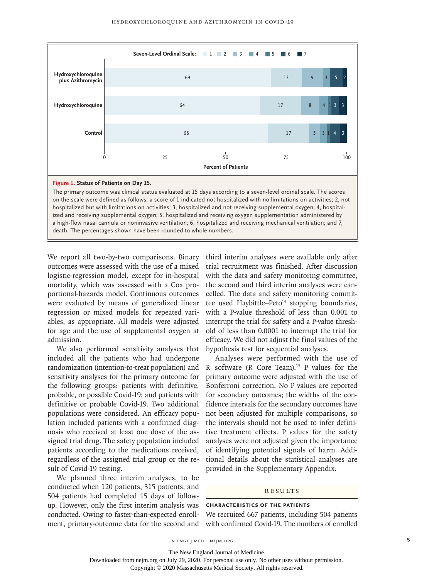

We report all two-by-two comparisons. Binary outcomes were assessed with the use of a mixed logistic-regression model, except for in-hospital mortality, which was assessed with a Cox proportional-hazards model. Continuous outcomes were evaluated by means of generalized linear regression or mixed models for repeated variables, as appropriate. All models were adjusted

death. The percentages shown have been rounded to whole numbers.

admission. We also performed sensitivity analyses that included all the patients who had undergone randomization (intention-to-treat population) and sensitivity analyses for the primary outcome for the following groups: patients with definitive, probable, or possible Covid-19; and patients with definitive or probable Covid-19. Two additional populations were considered. An efficacy population included patients with a confirmed diagnosis who received at least one dose of the assigned trial drug. The safety population included patients according to the medications received, regardless of the assigned trial group or the result of Covid-19 testing.

for age and the use of supplemental oxygen at

We planned three interim analyses, to be conducted when 120 patients, 315 patients, and 504 patients had completed 15 days of followup. However, only the first interim analysis was conducted. Owing to faster-than-expected enrollment, primary-outcome data for the second and third interim analyses were available only after trial recruitment was finished. After discussion with the data and safety monitoring committee, the second and third interim analyses were cancelled. The data and safety monitoring committee used Haybittle–Peto<sup>14</sup> stopping boundaries, with a P-value threshold of less than 0.001 to interrupt the trial for safety and a P-value threshold of less than 0.0001 to interrupt the trial for efficacy. We did not adjust the final values of the hypothesis test for sequential analyses.

Analyses were performed with the use of R software (R Core Team).<sup>15</sup> P values for the primary outcome were adjusted with the use of Bonferroni correction. No P values are reported for secondary outcomes; the widths of the confidence intervals for the secondary outcomes have not been adjusted for multiple comparisons, so the intervals should not be used to infer definitive treatment effects. P values for the safety analyses were not adjusted given the importance of identifying potential signals of harm. Additional details about the statistical analyses are provided in the Supplementary Appendix.

## **RESULTS**

## **Characteristics of the Patients**

We recruited 667 patients, including 504 patients with confirmed Covid-19. The numbers of enrolled

n engl j med nejm.org 5

Downloaded from nejm.org on July 29, 2020. For personal use only. No other uses without permission.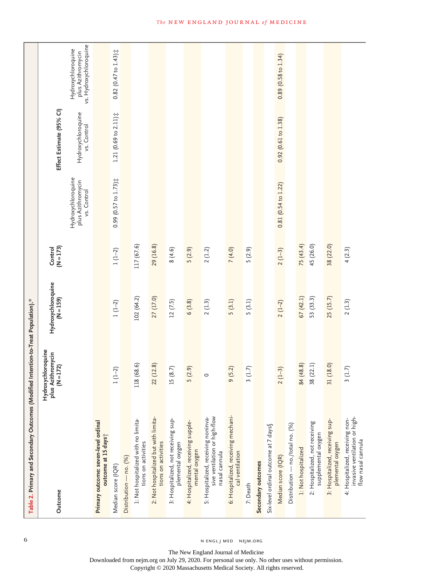| Table 2. Primary and Secondary Outcomes (Modified Intention-to-Treat Population).*     |                                                   |                               |                        |                                                        |                                   |                                                                   |
|----------------------------------------------------------------------------------------|---------------------------------------------------|-------------------------------|------------------------|--------------------------------------------------------|-----------------------------------|-------------------------------------------------------------------|
| Outcome                                                                                | Hydroxychloroquine<br>plus Azithromycin $(N=172)$ | Hydroxychloroquine<br>(N=159) | $(N = 173)$<br>Control |                                                        | Effect Estimate (95% CI)          |                                                                   |
|                                                                                        |                                                   |                               |                        | Hydroxychloroquine<br>plus Azithromycin<br>vs. Control | Hydroxychloroquine<br>vs. Control | vs. Hydroxychloroquine<br>Hydroxychloroquine<br>plus Azithromycin |
| Primary outcome: seven-level ordinal<br>outcome at 15 days <sup>+</sup>                |                                                   |                               |                        |                                                        |                                   |                                                                   |
| Median score (IQR)                                                                     | $(1 - 2)$                                         | $1(1-2)$                      | $1(1-2)$               | $0.99$ (0.57 to $1.73$ ) $\ddagger$                    | $1.21(0.69 to 2.11)$ #            | $0.82$ (0.47 to $1.43$ ) $\ddagger$                               |
| Distribution - no. (%)                                                                 |                                                   |                               |                        |                                                        |                                   |                                                                   |
| 1: Not hospitalized with no limita-<br>tions on activities                             | 118 (68.6)                                        | 102 (64.2)                    | 117 (67.6)             |                                                        |                                   |                                                                   |
| 2: Not hospitalized but with limita-<br>tions on activities                            | 22 (12.8)                                         | 27 (17.0)                     | 29 (16.8)              |                                                        |                                   |                                                                   |
| 3: Hospitalized, not receiving sup-<br>plemental oxygen                                | .5(8.7)                                           | 12(7.5)                       | 8(4.6)                 |                                                        |                                   |                                                                   |
| 4: Hospitalized, receiving supple-<br>mental oxygen                                    | 5(2.9)                                            | 6(3.8)                        | 5(2.9)                 |                                                        |                                   |                                                                   |
| sive ventilation or high-flow<br>5: Hospitalized, receiving noninva-<br>nasal cannula  | $\circ$                                           | 2(1.3)                        | 2(1.2)                 |                                                        |                                   |                                                                   |
| 6: Hospitalized, receiving mechani-<br>cal ventilation                                 | 9(5.2)                                            | 5(3.1)                        | 7(4.0)                 |                                                        |                                   |                                                                   |
| 7: Death                                                                               | 3(1.7)                                            | 5(3.1)                        | 5(2.9)                 |                                                        |                                   |                                                                   |
| Secondary outcomes                                                                     |                                                   |                               |                        |                                                        |                                   |                                                                   |
| Six-level ordinal outcome at 7 days                                                    |                                                   |                               |                        |                                                        |                                   |                                                                   |
| Median score (IQR)                                                                     | $2(1-3)$                                          | $2(1-2)$                      | $2(1-3)$               | $0.81(0.54 \text{ to } 1.22)$                          | 0.92(0.61 to 1.38)                | $0.89$ (0.58 to 1.34)                                             |
| Distribution - no./total no. (%)                                                       |                                                   |                               |                        |                                                        |                                   |                                                                   |
| 1: Not hospitalized                                                                    | 84 (48.8)                                         | 67(42.1)                      | 75 (43.4)              |                                                        |                                   |                                                                   |
| 2: Hospitalized, not receiving<br>supplemental oxygen                                  | 38 (22.1)                                         | 53 (33.3)                     | 45 (26.0)              |                                                        |                                   |                                                                   |
| 3: Hospitalized, receiving sup-<br>plemental oxygen                                    | 31 (18.0)                                         | 25(15.7)                      | 38 (22.0)              |                                                        |                                   |                                                                   |
| invasive ventilation or high-<br>4: Hospitalized, receiving non-<br>flow nasal cannula | 3(1.7)                                            | 2(1.3)                        | 4(2.3)                 |                                                        |                                   |                                                                   |

6 N ENGL J MED NEJM.ORG

The New England Journal of Medicine Downloaded from nejm.org on July 29, 2020. For personal use only. No other uses without permission.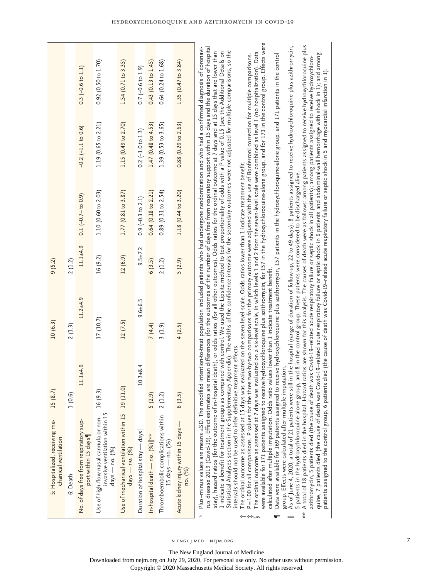|                                                        |          | $0.3$ (-0.6 to 1.1)                                           | $0.92$ (0.50 to $1.70$ )                                                                     | 1.54 (0.71 to 3.35)                                                   | $0.7(-0.6 \text{ to } 1.9)$      | $0.43$ $(0.13$ to $1.45)$       | $0.64$ $(0.24 \text{ to } 1.68)$                           | 1.35 $(0.47 \text{ to } 3.84)$                |                                                                                                                                                                                                                                                                                                                                                                                                                                                                                                                                                                                                                                                                                                                                                                                                                                                                                                                                                                                                                                                                                                                                                                                                                                                                                                                                                                                                                                                                                                                                                                                                                                                                                                                                                                                                                                                                                                                                                                                                                                                                                                                                                                                                                                                                                                                                                                                                                                                                                                                                                                                                                                                                                                                                                                                                                                           |
|--------------------------------------------------------|----------|---------------------------------------------------------------|----------------------------------------------------------------------------------------------|-----------------------------------------------------------------------|----------------------------------|---------------------------------|------------------------------------------------------------|-----------------------------------------------|-------------------------------------------------------------------------------------------------------------------------------------------------------------------------------------------------------------------------------------------------------------------------------------------------------------------------------------------------------------------------------------------------------------------------------------------------------------------------------------------------------------------------------------------------------------------------------------------------------------------------------------------------------------------------------------------------------------------------------------------------------------------------------------------------------------------------------------------------------------------------------------------------------------------------------------------------------------------------------------------------------------------------------------------------------------------------------------------------------------------------------------------------------------------------------------------------------------------------------------------------------------------------------------------------------------------------------------------------------------------------------------------------------------------------------------------------------------------------------------------------------------------------------------------------------------------------------------------------------------------------------------------------------------------------------------------------------------------------------------------------------------------------------------------------------------------------------------------------------------------------------------------------------------------------------------------------------------------------------------------------------------------------------------------------------------------------------------------------------------------------------------------------------------------------------------------------------------------------------------------------------------------------------------------------------------------------------------------------------------------------------------------------------------------------------------------------------------------------------------------------------------------------------------------------------------------------------------------------------------------------------------------------------------------------------------------------------------------------------------------------------------------------------------------------------------------------------------------|
|                                                        |          | $-0.2$ $(-1.1$ to 0.6)                                        | 1.19 (0.65 to 2.21)                                                                          | 1.15 (0.49 to 2.70)                                                   | $0.2$ (-1.0 to 1.3)              | 1.47(0.48 to 4.53)              | 1.39 (0.53 to 3.65)                                        | $0.88$ (0.29 to 2.63)                         |                                                                                                                                                                                                                                                                                                                                                                                                                                                                                                                                                                                                                                                                                                                                                                                                                                                                                                                                                                                                                                                                                                                                                                                                                                                                                                                                                                                                                                                                                                                                                                                                                                                                                                                                                                                                                                                                                                                                                                                                                                                                                                                                                                                                                                                                                                                                                                                                                                                                                                                                                                                                                                                                                                                                                                                                                                           |
|                                                        |          | $0.1 (-0.7 - t_0 0.9)$                                        | 1.10(0.60 to 2.03)                                                                           | 1.77 (0.81 to 3.87)                                                   | $0.9(-0.3 \text{ to } 2.1)$      | $0.64$ (0.18 to 2.21)           | 0.89(0.31 to 2.54)                                         | 1.18 (0.44 to 3.20)                           |                                                                                                                                                                                                                                                                                                                                                                                                                                                                                                                                                                                                                                                                                                                                                                                                                                                                                                                                                                                                                                                                                                                                                                                                                                                                                                                                                                                                                                                                                                                                                                                                                                                                                                                                                                                                                                                                                                                                                                                                                                                                                                                                                                                                                                                                                                                                                                                                                                                                                                                                                                                                                                                                                                                                                                                                                                           |
| 9(5.2)                                                 | 2(1.2)   | $11.1 + 4.9$                                                  | 16 (9.2)                                                                                     | 12(6.9)                                                               | $9.5 \pm 7.2$                    | 6(3.5)                          | 2(1.2)                                                     | 5(2.9)                                        |                                                                                                                                                                                                                                                                                                                                                                                                                                                                                                                                                                                                                                                                                                                                                                                                                                                                                                                                                                                                                                                                                                                                                                                                                                                                                                                                                                                                                                                                                                                                                                                                                                                                                                                                                                                                                                                                                                                                                                                                                                                                                                                                                                                                                                                                                                                                                                                                                                                                                                                                                                                                                                                                                                                                                                                                                                           |
| 10(6.3)                                                | 2(1.3)   | $11.2 + 4.9$                                                  | 17 (10.7)                                                                                    | 12(7.5)                                                               | $9.6 + 6.5$                      | 7(4.4)                          | 3(1.9)                                                     | 4(2.5)                                        | e hydroxychloroquine plus azithromycin, for 157 in the hydroxychloroquine-alone group, and for 173 in the control group. Effects were<br>e two-by-two comparisons for the primary outcome were adjusted with the use of Bonferroni correction for multiple comparisons.<br>evaluated on the seven-level scale. Odds ratios lower than 1 indicate treatment benefit.                                                                                                                                                                                                                                                                                                                                                                                                                                                                                                                                                                                                                                                                                                                                                                                                                                                                                                                                                                                                                                                                                                                                                                                                                                                                                                                                                                                                                                                                                                                                                                                                                                                                                                                                                                                                                                                                                                                                                                                                                                                                                                                                                                                                                                                                                                                                                                                                                                                                       |
| 15(8.7)                                                | 1(0.6)   | $11.1 + 4.9$                                                  | 16(9.3)                                                                                      |                                                                       | $10.3 + 8.4$                     | 5(2.9)                          | 2(1.2)                                                     | 6(3.5)                                        |                                                                                                                                                                                                                                                                                                                                                                                                                                                                                                                                                                                                                                                                                                                                                                                                                                                                                                                                                                                                                                                                                                                                                                                                                                                                                                                                                                                                                                                                                                                                                                                                                                                                                                                                                                                                                                                                                                                                                                                                                                                                                                                                                                                                                                                                                                                                                                                                                                                                                                                                                                                                                                                                                                                                                                                                                                           |
| 5: Hospitalized, receiving me-<br>chanical ventilation | 6: Death | No. of days free from respiratory sup-<br>port within 15 days | invasive ventilation within 15<br>Use of high-flow nasal cannula or non-<br>$days - no. (%)$ | Use of mechanical ventilation within 15 19 (11.0)<br>$days - no. (%)$ | Duration of hospital stay — days | In-hospital death - no. (%)  ** | Thromboembolic complications within<br>15 days — no. $(%)$ | Acute kidney injury within 15 days<br>no. (%) | A total of 18 patients died in the hospital. Hazard ratios are shown for this analysis. The causes of death were as follows: among patients assigned to receive hydroxychloroquine plus<br>As of June 4, 2020, a total of 21 patients were still in the hospital (range of duration of follow-up, 22 to 49 days): 8 patients assigned to receive hydroxychloroquine plus azithromycin,<br>Plus-minus values are means ±SD. The modified intention-to-treat population included patients who had undergone randomization and who had a confirmed diagnosis of coronavi-<br>rus disease 2019 (Covid-19). Effect estimates are mean differences (for the outcomes of the number of days free from respiratory support within 15 days and the duration of hospital<br>Statistical Analyses section in the Supplementary Appendix). The widths of the confidence intervals for the secondary outcomes were not adjusted for multiple comparisons, so the<br>stay), hazard ratios (for the outcome of in-hospital death), or odds ratios (for all other outcomes). Odds ratios for the ordinal outcome at 7 days and at 15 days that are lower than<br>1 indicate a benefit for treatment groups as compared with control. We used the Lipsitz method to test proportionality of odds with a P value of 0.15 (see the Additional Details on<br>The ordinal outcome as assessed at 7 days was evaluated on a six-level scale, in which levels 1 and 2 from the seven-level scale were combined as level 1 (no hospitalization). Data<br>quine, 7 patients died (the cause of death was Covid-19-related acute respiratory failure or septic shock in 6 patients and abdominal wall hemorrhage with shock in 1); and among<br>Data were available for 169 patients assigned to receive hydroxychloroquine plus azithromycin, 157 patients in the hydroxychloroquine-alone group, and 171 patients in the control<br>azithromycin, 5 patients died (the cause of death was Covid-13–related acute respiratory failure or septic shock in all patients); among patients assigned to receive hydroxychloro-<br>patients assigned to the control group, 6 patients died (the cause of death was Covid-19-related acute respiratory failure or septic shock in 5 and myocardial infarction in 1)<br>5 patients in the hydroxychloroquine-alone group, and 8 in the control group. These patients were considered to be discharged alive.<br>calculated after multiple imputation. Odds ratio values lower than 1 indicate treatment benefit.<br>intervals should not be used to infer definitive treatment effects.<br>group. Effects were calculated after multiple imputation<br>The ordinal outcome as assessed at 15 days was<br>P=1.00 for all comparisons. P values for the thre<br>were available for 171 patients assigned to receiv<br>ķ<br>☆ |

n engl j med nejm.org

The New England Journal of Medicine

Downloaded from nejm.org on July 29, 2020. For personal use only. No other uses without permission.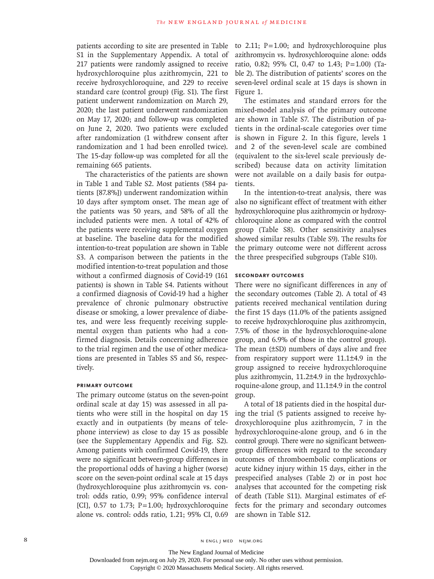patients according to site are presented in Table S1 in the Supplementary Appendix. A total of 217 patients were randomly assigned to receive hydroxychloroquine plus azithromycin, 221 to receive hydroxychloroquine, and 229 to receive standard care (control group) (Fig. S1). The first patient underwent randomization on March 29, 2020; the last patient underwent randomization on May 17, 2020; and follow-up was completed on June 2, 2020. Two patients were excluded after randomization (1 withdrew consent after randomization and 1 had been enrolled twice). The 15-day follow-up was completed for all the remaining 665 patients.

The characteristics of the patients are shown in Table 1 and Table S2. Most patients (584 patients [87.8%]) underwent randomization within 10 days after symptom onset. The mean age of the patients was 50 years, and 58% of all the included patients were men. A total of 42% of the patients were receiving supplemental oxygen at baseline. The baseline data for the modified intention-to-treat population are shown in Table S3. A comparison between the patients in the modified intention-to-treat population and those without a confirmed diagnosis of Covid-19 (161 patients) is shown in Table S4. Patients without a confirmed diagnosis of Covid-19 had a higher prevalence of chronic pulmonary obstructive disease or smoking, a lower prevalence of diabetes, and were less frequently receiving supplemental oxygen than patients who had a confirmed diagnosis. Details concerning adherence to the trial regimen and the use of other medications are presented in Tables S5 and S6, respectively.

## **Primary Outcome**

The primary outcome (status on the seven-point ordinal scale at day 15) was assessed in all patients who were still in the hospital on day 15 exactly and in outpatients (by means of telephone interview) as close to day 15 as possible (see the Supplementary Appendix and Fig. S2). Among patients with confirmed Covid-19, there were no significant between-group differences in the proportional odds of having a higher (worse) score on the seven-point ordinal scale at 15 days (hydroxychloroquine plus azithromycin vs. control: odds ratio, 0.99; 95% confidence interval [CI],  $0.57$  to 1.73;  $P=1.00$ ; hydroxychloroquine alone vs. control: odds ratio, 1.21; 95% CI, 0.69

to 2.11;  $P=1.00$ ; and hydroxychloroquine plus azithromycin vs. hydroxychloroquine alone: odds ratio, 0.82; 95% CI, 0.47 to 1.43; P=1.00) (Table 2). The distribution of patients' scores on the seven-level ordinal scale at 15 days is shown in Figure 1.

The estimates and standard errors for the mixed-model analysis of the primary outcome are shown in Table S7. The distribution of patients in the ordinal-scale categories over time is shown in Figure 2. In this figure, levels 1 and 2 of the seven-level scale are combined (equivalent to the six-level scale previously described) because data on activity limitation were not available on a daily basis for outpatients.

In the intention-to-treat analysis, there was also no significant effect of treatment with either hydroxychloroquine plus azithromycin or hydroxychloroquine alone as compared with the control group (Table S8). Other sensitivity analyses showed similar results (Table S9). The results for the primary outcome were not different across the three prespecified subgroups (Table S10).

## **Secondary Outcomes**

There were no significant differences in any of the secondary outcomes (Table 2). A total of 43 patients received mechanical ventilation during the first 15 days (11.0% of the patients assigned to receive hydroxychloroquine plus azithromycin, 7.5% of those in the hydroxychloroquine-alone group, and 6.9% of those in the control group). The mean (±SD) numbers of days alive and free from respiratory support were 11.1±4.9 in the group assigned to receive hydroxychloroquine plus azithromycin, 11.2±4.9 in the hydroxychloroquine-alone group, and 11.1±4.9 in the control group.

A total of 18 patients died in the hospital during the trial (5 patients assigned to receive hydroxychloroquine plus azithromycin, 7 in the hydroxychloroquine-alone group, and 6 in the control group). There were no significant betweengroup differences with regard to the secondary outcomes of thromboembolic complications or acute kidney injury within 15 days, either in the prespecified analyses (Table 2) or in post hoc analyses that accounted for the competing risk of death (Table S11). Marginal estimates of effects for the primary and secondary outcomes are shown in Table S12.

The New England Journal of Medicine

Downloaded from nejm.org on July 29, 2020. For personal use only. No other uses without permission.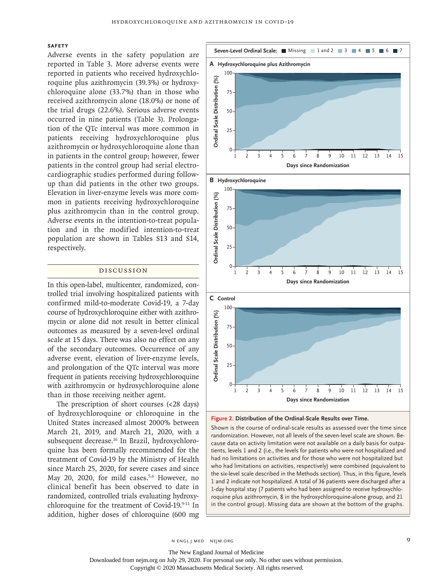## **Safety**

Adverse events in the safety population are reported in Table 3. More adverse events were reported in patients who received hydroxychloroquine plus azithromycin (39.3%) or hydroxychloroquine alone (33.7%) than in those who received azithromycin alone (18.0%) or none of the trial drugs (22.6%). Serious adverse events occurred in nine patients (Table 3). Prolongation of the QTc interval was more common in patients receiving hydroxychloroquine plus azithromycin or hydroxychloroquine alone than in patients in the control group; however, fewer patients in the control group had serial electrocardiographic studies performed during followup than did patients in the other two groups. Elevation in liver-enzyme levels was more common in patients receiving hydroxychloroquine plus azithromycin than in the control group. Adverse events in the intention-to-treat population and in the modified intention-to-treat population are shown in Tables S13 and S14, respectively.

## Discussion

In this open-label, multicenter, randomized, controlled trial involving hospitalized patients with confirmed mild-to-moderate Covid-19, a 7-day course of hydroxychloroquine either with azithromycin or alone did not result in better clinical outcomes as measured by a seven-level ordinal scale at 15 days. There was also no effect on any of the secondary outcomes. Occurrence of any adverse event, elevation of liver-enzyme levels, and prolongation of the QTc interval was more frequent in patients receiving hydroxychloroquine with azithromycin or hydroxychloroquine alone than in those receiving neither agent.

The prescription of short courses (<28 days) of hydroxychloroquine or chloroquine in the United States increased almost 2000% between March 21, 2019, and March 21, 2020, with a subsequent decrease.<sup>16</sup> In Brazil, hydroxychloroquine has been formally recommended for the treatment of Covid-19 by the Ministry of Health since March 25, 2020, for severe cases and since May 20, 2020, for mild cases.<sup>5,6</sup> However, no clinical benefit has been observed to date in randomized, controlled trials evaluating hydroxychloroquine for the treatment of Covid-19.9-11 In addition, higher doses of chloroquine (600 mg



**Figure 2. Distribution of the Ordinal-Scale Results over Time.**

Shown is the course of ordinal-scale results as assessed over the time since randomization. However, not all levels of the seven-level scale are shown. Because data on activity limitation were not available on a daily basis for outpatients, levels 1 and 2 (i.e., the levels for patients who were not hospitalized and had no limitations on activities and for those who were not hospitalized but who had limitations on activities, respectively) were combined (equivalent to the six-level scale described in the Methods section). Thus, in this figure, levels 1 and 2 indicate not hospitalized. A total of 36 patients were discharged after a 1-day hospital stay (7 patients who had been assigned to receive hydroxychloroquine plus azithromycin, 8 in the hydroxychloroquine-alone group, and 21

Downloaded from nejm.org on July 29, 2020. For personal use only. No other uses without permission.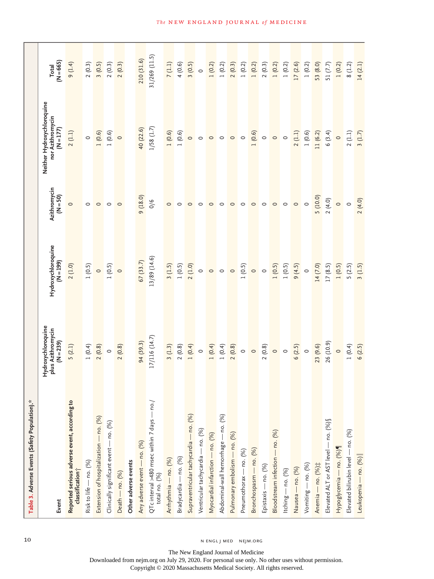| Table 3. Adverse Events (Safety Population).*                               |                                                                |                                                                      |                          |                                                               |                      |
|-----------------------------------------------------------------------------|----------------------------------------------------------------|----------------------------------------------------------------------|--------------------------|---------------------------------------------------------------|----------------------|
| Event                                                                       | Hydroxychloroquine<br>plus Azithromycin<br>$(N = 239)$         | Hydroxychloroquine<br>$(N = 199)$                                    | Azithromycin<br>(N = 50) | Neither Hydroxychloroquine<br>nor Azithromycin<br>$(N = 177)$ | $(N = 665)$<br>Total |
| Reported serious adverse event, according to<br>classification <sup>+</sup> | 5(2.1)                                                         | 2(1.0)                                                               | $\circ$                  | 2(1.1)                                                        | 9(1.4)               |
| Risk to life - no. (%)                                                      | 1(0.4)                                                         |                                                                      | $\circ$                  | $\circ$                                                       | 2(0.3)               |
| Extension of hospitalization - no. (%)                                      | 2(0.8)                                                         | $\begin{bmatrix} 1 & 0.5 \\ 0 & 1 & 0.5 \end{bmatrix}$               | $\circ$ $\circ$          | $\begin{bmatrix} 1 & 0.6 \\ 1 & 0.6 \end{bmatrix}$            | 3(0.5)               |
| Clinically significant event - no. (%)                                      | $\circ$                                                        |                                                                      |                          |                                                               | 2(0.3)               |
| Death - no. (%)                                                             | 2(0.8)                                                         |                                                                      | $\circ$                  |                                                               | 2(0.3)               |
| Other adverse events                                                        |                                                                |                                                                      |                          |                                                               |                      |
| Any adverse event - no. (%)                                                 | 94 (39.3)                                                      | $\frac{67(33.7)}{13/89(14.6)}$                                       | 9 (18.0)                 |                                                               | 210 (31.6)           |
| QTc interval >480 msec within 7 days — no./<br>total no. (%)                | 17/116 (14.7)                                                  |                                                                      | 0/6                      | $\frac{40}{1/58}$ (1.7)                                       | 31/269 (11.5)        |
| Arrhythmia — no. (%)                                                        | 3(1.3)                                                         | 3(1.5)                                                               | $\circ$                  | 1(0.6)                                                        | 7(1.1)               |
| Bradycardia — no. (%)                                                       | 2(0.8)                                                         | 1(0.5)                                                               | $\circ$                  | 1(0.6)                                                        | 4(0.6)               |
| Supraventricular tachycardia - no. (%)                                      | 1(0.4)                                                         | 2(1.0)                                                               | $\circ$                  |                                                               | 3(0.5)               |
| Ventricular tachycardia - no. (%)                                           | $\circ$                                                        |                                                                      | $\circ$                  | $\circ \circ \circ$                                           | $\circ$              |
| Myocardial infarction - no. (%)                                             |                                                                | $\circ$                                                              | $\circ$                  |                                                               | 1(0.2)               |
| Abdominal-wall hemorrhage - no. (%)                                         | 1 (0.4)<br>1 (0.8)<br>2 (0.8)<br>2 (0.8)<br>2 (0.9)<br>0 (0.9) | $\circ$                                                              | $\circ$                  | $\circ$                                                       | 1(0.2)               |
| Pulmonary embolism - no. (%)                                                |                                                                | $\circ$                                                              | $\circ$                  | $\circ$ $\circ$                                               | 2(0.3)               |
| Pneumothorax - no. (%)                                                      |                                                                | $\begin{bmatrix} 1 & 0.5 \ 0 & 0 \ 1 & 0.5 \end{bmatrix}$<br>1 (0.5) | $\circ$                  |                                                               | 1(0.2)               |
| Bronchospasm - no. (%)                                                      |                                                                |                                                                      | $\circ$                  |                                                               | 1(0.2)               |
| Epistaxis - no. (%)                                                         |                                                                |                                                                      | $\circ$                  | $\begin{bmatrix} 1 & 0.6 \ 0 & 0 \end{bmatrix}$               | 2(0.3)               |
| Bloodstream infection - no. (%)                                             |                                                                |                                                                      | $\circ$                  | $\circ$                                                       | 1(0.2)               |
| Itching $-$ no. $(%)$                                                       |                                                                |                                                                      | $\circ$                  | $\circ$                                                       | 1(0.2)               |
| Nausea — no. (%)                                                            |                                                                | 9(4.5)                                                               | $\circ$                  | $2(1.1)$                                                      | 17(2.6)              |
| Vomiting $-$ no. $(%)$                                                      |                                                                | $\circ$                                                              | $\circ$                  | 1(0.6)                                                        | 1(0.2)               |
| Anemia — no. (%) #                                                          | 23 (9.6)                                                       | 14 (7.0)                                                             | 5 (10.0)                 | 11 (6.2)                                                      | 53 (8.0)             |
| Elevated ALT or AST level - no. (%) §                                       | 26 (10.9)                                                      | 17(8.5)                                                              | 2(4.0)                   | 6(3.4)                                                        | 51 (7.7)             |
| Hypoglycemia - no. (%)                                                      | $\circ$                                                        | 1(0.5)                                                               | $\circ$                  | $\circ$                                                       | 1(0.2)               |
| Elevated bilirubin level - no. (%)                                          | 1(0.4)                                                         | 5(2.5)                                                               | $\circ$                  | 2(1.1)                                                        | 8(1.2)               |
| Leukopenia — no. (%)                                                        | 6(2.5)                                                         | 3(1.5)                                                               | 2(4.0)                   | 3(1.7)                                                        | 14(2.1)              |

10 N ENGL J MED NEJM.ORG

The New England Journal of Medicine Downloaded from nejm.org on July 29, 2020. For personal use only. No other uses without permission.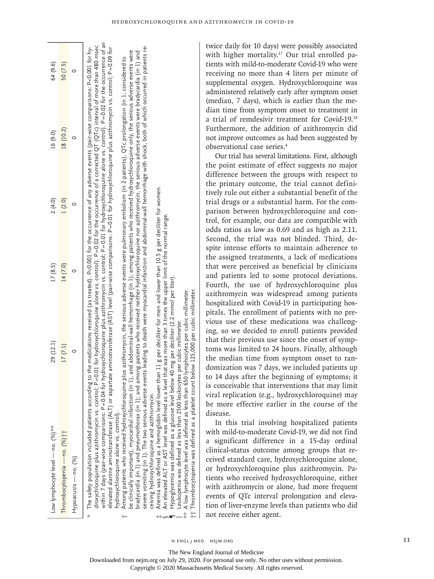| Low lymphocyte level — no. (%)**                                                                                                                                                                                                                                                                                                                                                                                                                                                                                                                                                                                                                                                                                                                                                                                                                                                                                                                                                                                                                                                                                                                                                                                                                                                                                                                                                                         | 29 (12.1)                                                                         | 17(8.5)  | 2(4.0) | 16 (9.0)  | 64 (9.6) |
|----------------------------------------------------------------------------------------------------------------------------------------------------------------------------------------------------------------------------------------------------------------------------------------------------------------------------------------------------------------------------------------------------------------------------------------------------------------------------------------------------------------------------------------------------------------------------------------------------------------------------------------------------------------------------------------------------------------------------------------------------------------------------------------------------------------------------------------------------------------------------------------------------------------------------------------------------------------------------------------------------------------------------------------------------------------------------------------------------------------------------------------------------------------------------------------------------------------------------------------------------------------------------------------------------------------------------------------------------------------------------------------------------------|-----------------------------------------------------------------------------------|----------|--------|-----------|----------|
| Thrombocytopenia — no. $(%)$ i i                                                                                                                                                                                                                                                                                                                                                                                                                                                                                                                                                                                                                                                                                                                                                                                                                                                                                                                                                                                                                                                                                                                                                                                                                                                                                                                                                                         | 17(7.1)                                                                           | 14 (7.0) | 1(2.0) | 18 (10.2) | 50(7.5)  |
| Hypoacusis — no. (%)                                                                                                                                                                                                                                                                                                                                                                                                                                                                                                                                                                                                                                                                                                                                                                                                                                                                                                                                                                                                                                                                                                                                                                                                                                                                                                                                                                                     |                                                                                   |          |        |           |          |
| within 7 days (pair-wise comparisons: P=0.04 for hydroxychloroquine plus azithromycin vs. control; P=0.01 for hydroxychloroquine alone vs. control). P=0.02 for the occurrence of an<br>droxychloroquine plus azithromycin vs. control; P=0.01 for hydroxychloroquine alone vs. control). P=0.02 for the occurrence of a corrected QT (QTc) interval of more than 480 msec<br>The safety population included patients according to the medications received (as treated). P<0.001 for the occurrence of any adverse events (pair-wise comparisons: P<0.001 for hy-<br>elevated alanine aminotransferase (ALT) or aspartate aminotransferase (AST) level (pair-wise comparisons: P=0.01 for hydroxychloroquine plus azithromycin vs. control; P=0.09 for<br>be clinically important), myocardial infarction (in 1), and abdominal-wall hemorrhage (in 1); among patients who received hydroxychloroquine only, the serious adverse events were<br>Among patients who received hydroxychloroquine plus azithromycin, the serious adverse events were pulmonary embolism (in 2 patients), QTc prolongation (in 1; considered to<br>Line of the first of the first of the contract of the contract of the contract of the contract of the contract of the contract of the contract of the contract of the contract of the contract of the contract of the contract<br>hydroxychloroquine alone vs. control). | 在我们的一个人都不是不是,我们的人都不是不是,我们的人就是不是,我们的人都不是不是,我们的人都不是我们的人,我们就是我们的人,我们就是我们的人,我们就是我们的人, |          |        |           |          |

bradycardia (in 1) and pneumothorax (in 1); and among patients who received neither hydroxychloroquine nor azithromycin, the serious adverse events were bradycardia (in 1) and<br>severe vomiting (in 1). The two serious advers severe vomiting (in 1). The two serious adverse events leading to death were myocardial infarction and abdominal-wall hemorrhage with shock, both of which occurred in patients rebradycardia (in 1) and pneumothorax (in 1); and among patients who received neither hydroxychloroquine nor azithromycin, the serious adverse events were bradycardia (in 1) and ceiving hydroxychloroquine and azithromycin. ceiving hydroxychloroquine and azithromycin.

Anemia was defined as a hemoglobin level lower than 11 g per deciliter for men and lower than 10.5 g per deciliter for women. Anemia was defined as a hemoglobin level lower than 11 g per deciliter for men and lower than 10.5 g per deciliter for women. An elevated ALT or AST level was defined as a level that was more than 3 times the upper limit of the normal range. ‡

 An elevated ALT or AST level was defined as a level that was more than 3 times the upper limit of the normal range. Hypoglycemia was defined as a glucose level below 40 mg per deciliter (2.2 mmol per liter). Hypoglycemia was defined as a glucose level below 40 mg per deciliter (2.2 mmol per liter) ¶§

Leukopenia was defined as less than 2500 leukocytes per cubic millimeter.  $\parallel$  Leukopenia was defined as less than 2500 leukocytes per cubic millimeter.

randprint was defined as less than 650 lymphocytes per cubic millimeter.<br>Iow lymphocyte level was defined as less than 650 lymphocytes per cubic millimeter. ⋜ Ř

 $^{***}$  A low lymphocyte level was defined as less than 650 lymphocytes per cubic millimeter.

per cubic millimeter. †† Thrombocytopenia was defined as a platelet count below 125,000 per cubic millimeter. Thrombocytopenia was defined as a platelet count below 125,000 妇 twice daily for 10 days) were possibly associated with higher mortality.<sup>17</sup> Our trial enrolled patients with mild-to-moderate Covid-19 who were receiving no more than 4 liters per minute of supplemental oxygen. Hydroxychloroquine was administered relatively early after symptom onset (median, 7 days), which is earlier than the median time from symptom onset to treatment in a trial of remdesivir treatment for Covid-19.18 Furthermore, the addition of azithromycin did not improve outcomes as had been suggested by observational case series.4 Our trial has several limitations. First, although the point estimate of effect suggests no major

difference between the groups with respect to the primary outcome, the trial cannot definitively rule out either a substantial benefit of the trial drugs or a substantial harm. For the comparison between hydroxychloroquine and control, for example, our data are compatible with odds ratios as low as 0.69 and as high as 2.11. Second, the trial was not blinded. Third, despite intense efforts to maintain adherence to the assigned treatments, a lack of medications that were perceived as beneficial by clinicians and patients led to some protocol deviations. Fourth, the use of hydroxychloroquine plus azithromycin was widespread among patients hospitalized with Covid-19 in participating hospitals. The enrollment of patients with no previous use of these medications was challenging, so we decided to enroll patients provided that their previous use since the onset of symptoms was limited to 24 hours. Finally, although the median time from symptom onset to randomization was 7 days, we included patients up to 14 days after the beginning of symptoms; it is conceivable that interventions that may limit viral replication (e.g., hydroxychloroquine) may be more effective earlier in the course of the disease.

In this trial involving hospitalized patients with mild-to-moderate Covid-19, we did not find a significant difference in a 15-day ordinal clinical-status outcome among groups that received standard care, hydroxychloroquine alone, or hydroxychloroquine plus azithromycin. Patients who received hydroxychloroquine, either with azithromycin or alone, had more frequent events of QTc interval prolongation and elevation of liver-enzyme levels than patients who did not receive either agent.

n engl j med nejm.org 11

The New England Journal of Medicine

Downloaded from nejm.org on July 29, 2020. For personal use only. No other uses without permission.